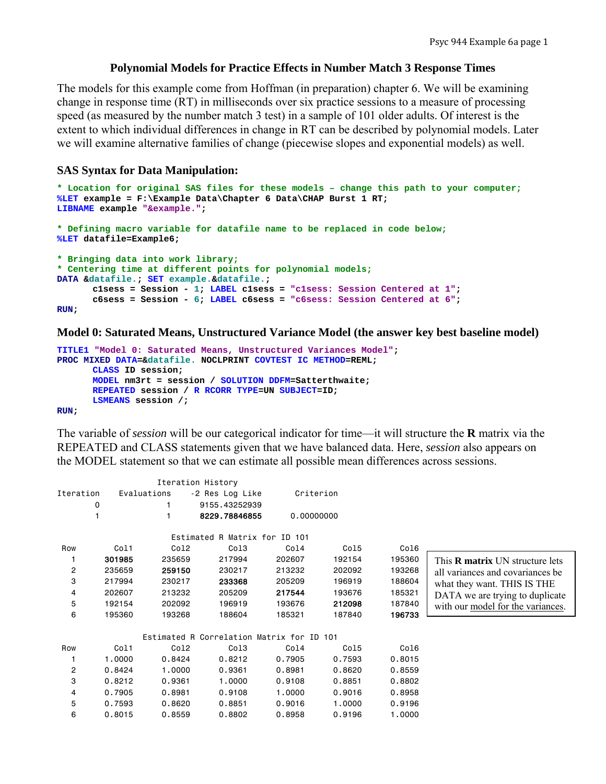## **Polynomial Models for Practice Effects in Number Match 3 Response Times**

The models for this example come from Hoffman (in preparation) chapter 6. We will be examining change in response time (RT) in milliseconds over six practice sessions to a measure of processing speed (as measured by the number match 3 test) in a sample of 101 older adults. Of interest is the extent to which individual differences in change in RT can be described by polynomial models. Later we will examine alternative families of change (piecewise slopes and exponential models) as well.

## **SAS Syntax for Data Manipulation:**

```
* Location for original SAS files for these models – change this path to your computer;
%LET example = F:\Example Data\Chapter 6 Data\CHAP Burst 1 RT; 
LIBNAME example "&example."; 
* Defining macro variable for datafile name to be replaced in code below;
%LET datafile=Example6; 
* Bringing data into work library;
* Centering time at different points for polynomial models;
DATA &datafile.; SET example.&datafile.; 
       c1sess = Session - 1; LABEL c1sess = "c1sess: Session Centered at 1"; 
       c6sess = Session - 6; LABEL c6sess = "c6sess: Session Centered at 6"; 
RUN;
```
#### **Model 0: Saturated Means, Unstructured Variance Model (the answer key best baseline model)**

```
TITLE1 "Model 0: Saturated Means, Unstructured Variances Model"; 
PROC MIXED DATA=&datafile. NOCLPRINT COVTEST IC METHOD=REML; 
      CLASS ID session; 
      MODEL nm3rt = session / SOLUTION DDFM=Satterthwaite; 
      REPEATED session / R RCORR TYPE=UN SUBJECT=ID; 
      LSMEANS session /; 
RUN;
```
The variable of *session* will be our categorical indicator for time—it will structure the **R** matrix via the REPEATED and CLASS statements given that we have balanced data. Here, *session* also appears on the MODEL statement so that we can estimate all possible mean differences across sessions.

|                |        | Iteration History |                                           |            |        |        |                                        |
|----------------|--------|-------------------|-------------------------------------------|------------|--------|--------|----------------------------------------|
| Iteration      |        | Evaluations       | -2 Res Log Like                           | Criterion  |        |        |                                        |
|                | 0      |                   | 9155.43252939                             |            |        |        |                                        |
|                |        |                   | 8229.78846855                             | 0,00000000 |        |        |                                        |
|                |        |                   | Estimated R Matrix for ID 101             |            |        |        |                                        |
| Row            | Col1   | Col2              | Col3                                      | Col4       | Col5   | Col6   |                                        |
|                | 301985 | 235659            | 217994                                    | 202607     | 192154 | 195360 | This <b>R</b> matrix UN structure lets |
| 2              | 235659 | 259150            | 230217                                    | 213232     | 202092 | 193268 | all variances and covariances be       |
| 3              | 217994 | 230217            | 233368                                    | 205209     | 196919 | 188604 | what they want. THIS IS THE            |
| 4              | 202607 | 213232            | 205209                                    | 217544     | 193676 | 185321 | DATA we are trying to duplicate        |
| 5              | 192154 | 202092            | 196919                                    | 193676     | 212098 | 187840 | with our model for the variances.      |
| 6              | 195360 | 193268            | 188604                                    | 185321     | 187840 | 196733 |                                        |
|                |        |                   | Estimated R Correlation Matrix for ID 101 |            |        |        |                                        |
| Row            | Col1   | Co12              | Col3                                      | Col4       | Col5   | Col6   |                                        |
|                | 1.0000 | 0.8424            | 0.8212                                    | 0.7905     | 0.7593 | 0.8015 |                                        |
| $\overline{c}$ | 0.8424 | 1.0000            | 0.9361                                    | 0.8981     | 0.8620 | 0.8559 |                                        |
| 3              | 0.8212 | 0.9361            | 1,0000                                    | 0.9108     | 0.8851 | 0.8802 |                                        |
| 4              | 0.7905 | 0.8981            | 0.9108                                    | 1,0000     | 0.9016 | 0.8958 |                                        |
| 5              | 0.7593 | 0.8620            | 0.8851                                    | 0.9016     | 1.0000 | 0.9196 |                                        |
| 6              | 0.8015 | 0.8559            | 0.8802                                    | 0.8958     | 0.9196 | 1.0000 |                                        |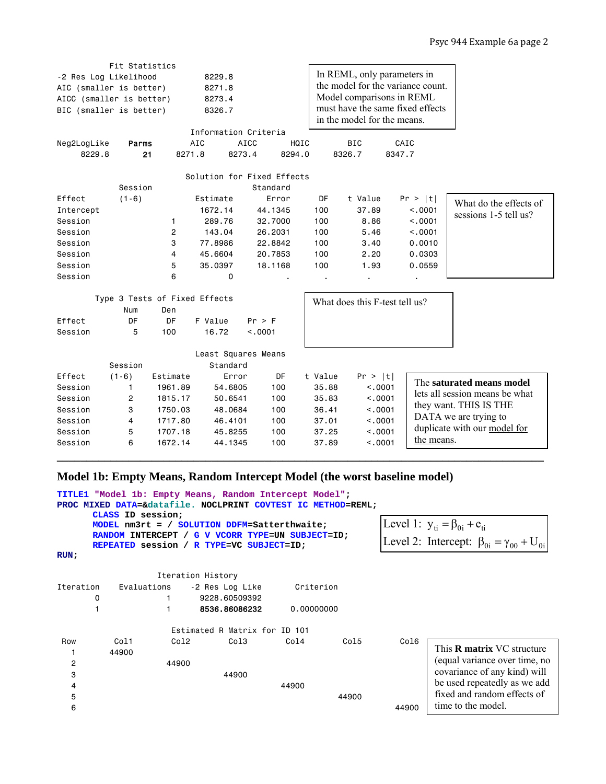|                          | Fit Statistics                |           |                      |                            |         |                                   |            |                                |  |  |  |
|--------------------------|-------------------------------|-----------|----------------------|----------------------------|---------|-----------------------------------|------------|--------------------------------|--|--|--|
| -2 Res Log Likelihood    |                               |           | 8229.8               |                            |         | In REML, only parameters in       |            |                                |  |  |  |
| AIC (smaller is better)  |                               |           | 8271.8               |                            |         | the model for the variance count. |            |                                |  |  |  |
| AICC (smaller is better) |                               |           | 8273.4               |                            |         | Model comparisons in REML         |            |                                |  |  |  |
| BIC (smaller is better)  |                               |           | 8326.7               |                            |         | must have the same fixed effects  |            |                                |  |  |  |
|                          |                               |           |                      |                            |         | in the model for the means.       |            |                                |  |  |  |
|                          |                               |           | Information Criteria |                            |         |                                   |            |                                |  |  |  |
| Neg2LogLike              | Parms                         |           | AIC                  | <b>AICC</b><br>HQIC        |         | <b>BIC</b>                        | CAIC       |                                |  |  |  |
| 8229.8                   | 21                            | 8271.8    | 8273.4               | 8294.0                     |         | 8326.7                            | 8347.7     |                                |  |  |  |
|                          |                               |           |                      |                            |         |                                   |            |                                |  |  |  |
|                          |                               |           |                      | Solution for Fixed Effects |         |                                   |            |                                |  |  |  |
|                          | Session                       |           |                      | Standard                   |         |                                   |            |                                |  |  |  |
| Effect                   | $(1-6)$                       |           | Estimate             | Error                      | DF      | t Value                           | Pr >  t    | What do the effects of         |  |  |  |
| Intercept                |                               |           | 1672.14              | 44.1345                    | 100     | 37.89                             | < 0.001    | sessions 1-5 tell us?          |  |  |  |
| Session                  |                               | 1.        | 289.76               | 32.7000                    | 100     | 8.86                              | < .0001    |                                |  |  |  |
| Session                  |                               | 2         | 143.04               | 26.2031                    | 100     | 5.46                              | < .0001    |                                |  |  |  |
| Session                  |                               | 3         | 77,8986              | 22,8842                    | 100     | 3.40                              | 0.0010     |                                |  |  |  |
| Session                  |                               | 4         | 45.6604              | 20,7853                    | 100     | 2.20                              | 0.0303     |                                |  |  |  |
| Session                  |                               | 5         | 35.0397              | 18.1168                    | 100     | 1.93                              | 0.0559     |                                |  |  |  |
| Session                  |                               | 6         | 0                    |                            |         |                                   |            |                                |  |  |  |
|                          |                               |           |                      |                            |         |                                   |            |                                |  |  |  |
|                          | Type 3 Tests of Fixed Effects |           |                      |                            |         | What does this F-test tell us?    |            |                                |  |  |  |
|                          | Num                           | Den       |                      |                            |         |                                   |            |                                |  |  |  |
| Effect                   | DF                            | <b>DF</b> | F Value              | $Pr$ > $F$                 |         |                                   |            |                                |  |  |  |
| Session                  | 5                             | 100       | 16.72                | < .0001                    |         |                                   |            |                                |  |  |  |
|                          |                               |           |                      |                            |         |                                   |            |                                |  |  |  |
|                          |                               |           | Least Squares Means  |                            |         |                                   |            |                                |  |  |  |
|                          | Session                       |           | Standard             |                            |         |                                   |            |                                |  |  |  |
| Effect                   | $(1-6)$                       | Estimate  | Error                | DF                         | t Value | Pr >  t                           |            | The saturated means model      |  |  |  |
| Session                  | 1                             | 1961.89   | 54.6805              | 100                        | 35.88   | < 0.001                           |            | lets all session means be what |  |  |  |
| Session                  | 2                             | 1815.17   | 50.6541              | 100                        | 35.83   | < .0001                           |            | they want. THIS IS THE         |  |  |  |
| Session                  | 3                             | 1750.03   | 48,0684              | 100                        | 36.41   | < .0001                           |            | DATA we are trying to          |  |  |  |
| Session                  | 4                             | 1717.80   | 46.4101              | 100                        | 37.01   | < .0001                           |            | duplicate with our model for   |  |  |  |
| Session                  | 5                             | 1707.18   | 45.8255              | 100                        | 37.25   | < .0001                           | the means. |                                |  |  |  |
| Session                  | 6                             | 1672.14   | 44.1345              | 100                        | 37.89   | < .0001                           |            |                                |  |  |  |

# **Model 1b: Empty Means, Random Intercept Model (the worst baseline model)**

| <b>TITLE1</b> |                                          |       | "Model 1b: Empty Means, Random Intercept Model";                              |            |                                                                                                     |       |                                   |
|---------------|------------------------------------------|-------|-------------------------------------------------------------------------------|------------|-----------------------------------------------------------------------------------------------------|-------|-----------------------------------|
|               |                                          |       | PROC MIXED DATA=&datafile. NOCLPRINT COVTEST IC METHOD=REML;                  |            |                                                                                                     |       |                                   |
|               | CLASS ID session;<br>RANDOM INTERCEPT /  |       | MODEL nm3rt = / SOLUTION DDFM=Satterthwaite;<br>G V VCORR TYPE=UN SUBJECT=ID; |            | [Level 1: $y_{ti} = \beta_{0i} + e_{ti}$<br>Level 2: Intercept: $\beta_{0i} = \gamma_{00} + U_{0i}$ |       |                                   |
|               | REPEATED session / R TYPE=VC SUBJECT=ID; |       |                                                                               |            |                                                                                                     |       |                                   |
| RUN:          |                                          |       |                                                                               |            |                                                                                                     |       |                                   |
|               |                                          |       | Iteration History                                                             |            |                                                                                                     |       |                                   |
| Iteration     | Evaluations                              |       | -2 Res Log Like                                                               | Criterion  |                                                                                                     |       |                                   |
| 0             |                                          |       | 9228.60509392                                                                 |            |                                                                                                     |       |                                   |
|               |                                          |       | 8536.86086232                                                                 | 0,00000000 |                                                                                                     |       |                                   |
|               |                                          |       | Estimated R Matrix for ID 101                                                 |            |                                                                                                     |       |                                   |
| Row           | Col1                                     | Co12  | Col <sub>3</sub>                                                              | Col4       | Col5                                                                                                | Col6  | This <b>R</b> matrix VC structure |
|               | 44900                                    |       |                                                                               |            |                                                                                                     |       |                                   |
| 2             |                                          | 44900 |                                                                               |            |                                                                                                     |       | (equal variance over time, no     |
| 3             |                                          |       | 44900                                                                         |            |                                                                                                     |       | covariance of any kind) will      |
| 4             |                                          |       |                                                                               | 44900      |                                                                                                     |       | be used repeatedly as we add      |
| 5             |                                          |       |                                                                               |            | 44900                                                                                               |       | fixed and random effects of       |
| 6             |                                          |       |                                                                               |            |                                                                                                     | 44900 | time to the model.                |

**\_\_\_\_\_\_\_\_\_\_\_\_\_\_\_\_\_\_\_\_\_\_\_\_\_\_\_\_\_\_\_\_\_\_\_\_\_\_\_\_\_\_\_\_\_\_\_\_\_\_\_\_\_\_\_\_\_\_\_\_\_\_\_\_\_\_\_\_\_\_\_\_\_\_\_\_\_\_\_\_\_\_**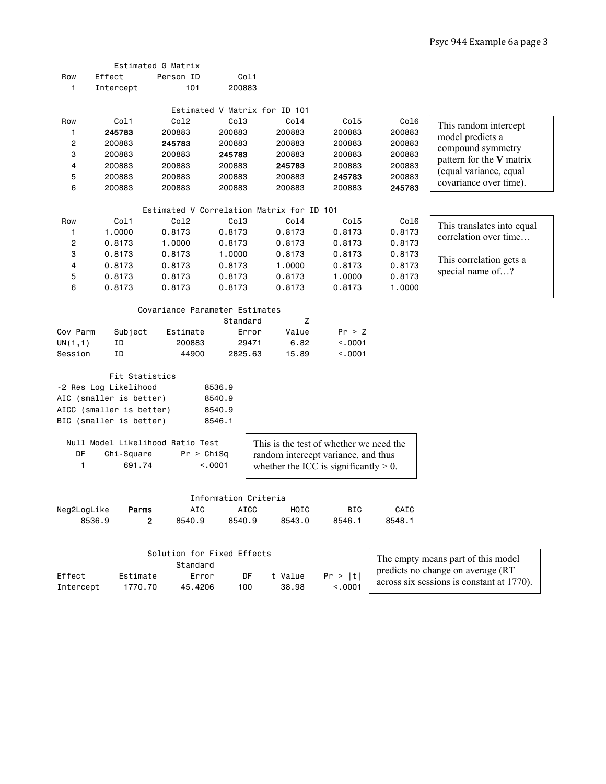|             |                          | Estimated G Matrix                        |                                     |                                          |            |        |                                                  |
|-------------|--------------------------|-------------------------------------------|-------------------------------------|------------------------------------------|------------|--------|--------------------------------------------------|
| Row         | Effect                   | Person ID                                 | Col1                                |                                          |            |        |                                                  |
| 1           | Intercept                | 101                                       | 200883                              |                                          |            |        |                                                  |
|             |                          |                                           |                                     |                                          |            |        |                                                  |
|             |                          |                                           | Estimated V Matrix for ID 101       |                                          |            |        |                                                  |
| Row         | Col1                     | Co12                                      | Col <sub>3</sub>                    | Col4                                     | Co15       | Co16   | This random intercept                            |
| 1           | 245783                   | 200883                                    | 200883                              | 200883                                   | 200883     | 200883 | model predicts a                                 |
| 2           | 200883                   | 245783                                    | 200883                              | 200883                                   | 200883     | 200883 | compound symmetry                                |
| 3           | 200883                   | 200883                                    | 245783                              | 200883                                   | 200883     | 200883 | pattern for the V matrix                         |
| 4           | 200883                   | 200883                                    | 200883                              | 245783                                   | 200883     | 200883 |                                                  |
| 5           | 200883                   | 200883                                    | 200883                              | 200883                                   | 245783     | 200883 | (equal variance, equal<br>covariance over time). |
| 6           | 200883                   | 200883                                    | 200883                              | 200883                                   | 200883     | 245783 |                                                  |
|             |                          | Estimated V Correlation Matrix for ID 101 |                                     |                                          |            |        |                                                  |
| Row         | Col1                     | Co12                                      | Col <sub>3</sub>                    | Col4                                     | Co15       | Co16   |                                                  |
| 1           | 1.0000                   | 0.8173                                    | 0.8173                              | 0.8173                                   | 0.8173     | 0.8173 | This translates into equal                       |
| 2           | 0.8173                   | 1,0000                                    | 0.8173                              | 0.8173                                   | 0.8173     | 0.8173 | correlation over time                            |
| 3           | 0.8173                   | 0.8173                                    | 1.0000                              | 0.8173                                   | 0.8173     | 0.8173 |                                                  |
| 4           | 0.8173                   | 0.8173                                    | 0.8173                              | 1.0000                                   | 0.8173     | 0.8173 | This correlation gets a                          |
| 5           | 0.8173                   | 0.8173                                    | 0.8173                              | 0.8173                                   | 1.0000     | 0.8173 | special name of?                                 |
| 6           | 0.8173                   | 0.8173                                    | 0.8173                              | 0.8173                                   | 0.8173     | 1.0000 |                                                  |
|             |                          |                                           |                                     |                                          |            |        |                                                  |
|             |                          | Covariance Parameter Estimates            |                                     |                                          |            |        |                                                  |
|             |                          |                                           | Standard                            | Ζ                                        |            |        |                                                  |
| Cov Parm    | Subject                  | Estimate                                  | Error                               | Value                                    | Pr > Z     |        |                                                  |
| UN(1,1)     | ID                       | 200883                                    | 29471                               | 6.82                                     | < .0001    |        |                                                  |
| Session     | ID                       | 44900                                     | 2825.63                             | 15.89                                    | < .0001    |        |                                                  |
|             | Fit Statistics           |                                           |                                     |                                          |            |        |                                                  |
|             | -2 Res Log Likelihood    |                                           | 8536.9                              |                                          |            |        |                                                  |
|             | AIC (smaller is better)  |                                           | 8540.9                              |                                          |            |        |                                                  |
|             | AICC (smaller is better) |                                           | 8540.9                              |                                          |            |        |                                                  |
|             | BIC (smaller is better)  |                                           | 8546.1                              |                                          |            |        |                                                  |
|             |                          | Null Model Likelihood Ratio Test          |                                     | This is the test of whether we need the  |            |        |                                                  |
| DF          | Chi-Square               | Pr > Chisq                                |                                     | random intercept variance, and thus      |            |        |                                                  |
| 1           | 691.74                   |                                           | < .0001                             |                                          |            |        |                                                  |
|             |                          |                                           |                                     | whether the ICC is significantly $> 0$ . |            |        |                                                  |
|             |                          |                                           |                                     |                                          |            |        |                                                  |
| Neg2LogLike | Parms                    | AIC                                       | Information Criteria<br><b>AICC</b> | HQIC                                     | <b>BIC</b> | CAIC   |                                                  |
| 8536.9      |                          | 2<br>8540.9                               | 8540.9                              | 8543.0                                   | 8546.1     | 8548.1 |                                                  |
|             |                          |                                           |                                     |                                          |            |        |                                                  |
|             |                          |                                           |                                     |                                          |            |        |                                                  |
|             |                          | Solution for Fixed Effects                |                                     |                                          |            |        | The empty means part of this model               |

|           |          | Standard |      |         |         |
|-----------|----------|----------|------|---------|---------|
| Effect    | Estimate | Error    | DE.  | t Value | Pr >  t |
| Intercept | 1770.70  | 45.4206  | 100. | 38.98   | < .0001 |

predicts no change on average (RT across six sessions is constant at 1770).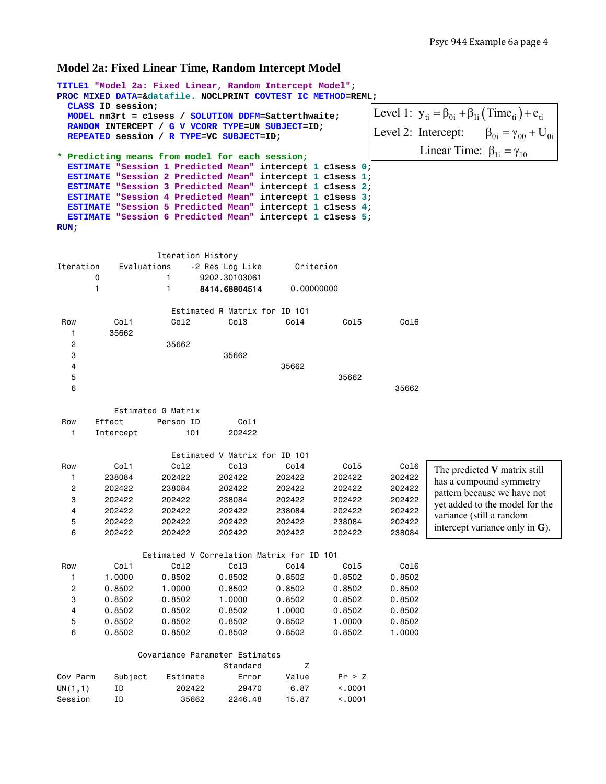#### **Model 2a: Fixed Linear Time, Random Intercept Model**

```
TITLE1 "Model 2a: Fixed Linear, Random Intercept Model";
PROC MIXED DATA=&datafile. NOCLPRINT COVTEST IC METHOD=REML; 
  CLASS ID session; 
  MODEL nm3rt = c1sess / SOLUTION DDFM=Satterthwaite; 
  RANDOM INTERCEPT / G V VCORR TYPE=UN SUBJECT=ID; 
  REPEATED session / R TYPE=VC SUBJECT=ID; 
* Predicting means from model for each session;
  ESTIMATE "Session 1 Predicted Mean" intercept 1 c1sess 0; 
  ESTIMATE "Session 2 Predicted Mean" intercept 1 c1sess 1; 
  ESTIMATE "Session 3 Predicted Mean" intercept 1 c1sess 2; 
  ESTIMATE "Session 4 Predicted Mean" intercept 1 c1sess 3; 
  ESTIMATE "Session 5 Predicted Mean" intercept 1 c1sess 4; 
  ESTIMATE "Session 6 Predicted Mean" intercept 1 c1sess 5; 
RUN; 
                Iteration History 
Iteration Evaluations -2 Res Log Like Criterion 
      0 1 9202.30103061 
      1 1 8414.68804514 0.00000000 
                  Estimated R Matrix for ID 101 
 Row Col1 Col2 Col3 Col4 Col5 Col6 
   1 35662 
   2 35662 
 3 35662 
 4 35662 
5 35662
6 35662
         Estimated G Matrix 
Row Effect Person ID Col1
   1 Intercept 101 202422 
                  Estimated V Matrix for ID 101 
 Row Col1 Col2 Col3 Col4 Col5 Col6 
 1 238084 202422 202422 202422 202422 202422 
 2 202422 238084 202422 202422 202422 202422 
 3 202422 202422 238084 202422 202422 202422 
 4 202422 202422 202422 238084 202422 202422 
 5 202422 202422 202422 202422 238084 202422 
 6 202422 202422 202422 202422 202422 238084 
              Estimated V Correlation Matrix for ID 101 
 Row Col1 Col2 Col3 Col4 Col5 Col6 
 1 1.0000 0.8502 0.8502 0.8502 0.8502 0.8502 
 2 0.8502 1.0000 0.8502 0.8502 0.8502 0.8502 
 3 0.8502 0.8502 1.0000 0.8502 0.8502 0.8502 
 4 0.8502 0.8502 0.8502 1.0000 0.8502 0.8502 
 5 0.8502 0.8502 0.8502 0.8502 1.0000 0.8502 
 6 0.8502 0.8502 0.8502 0.8502 0.8502 1.0000 
             Covariance Parameter Estimates 
                         Standard Z
Cov Parm Subject Estimate Error Value Pr > Z 
UN(1,1) ID 202422 29470 6.87 <.0001 
Session ID 35662 2246.48 15.87 <.0001 
                                                Level 1: y_{ti} = \beta_{0i} + \beta_{1i} (\text{Time}_{ti}) + e_{ti}\beta_{0i} = \gamma_{00} + U_{0i}Linear Time: \beta_{1i} = \gamma_{10}Level 2: Intercept:
                                                         The predicted V matrix still 
                                                         has a compound symmetry 
                                                         pattern because we have not 
                                                         yet added to the model for the 
                                                         variance (still a random 
                                                         intercept variance only in G).
```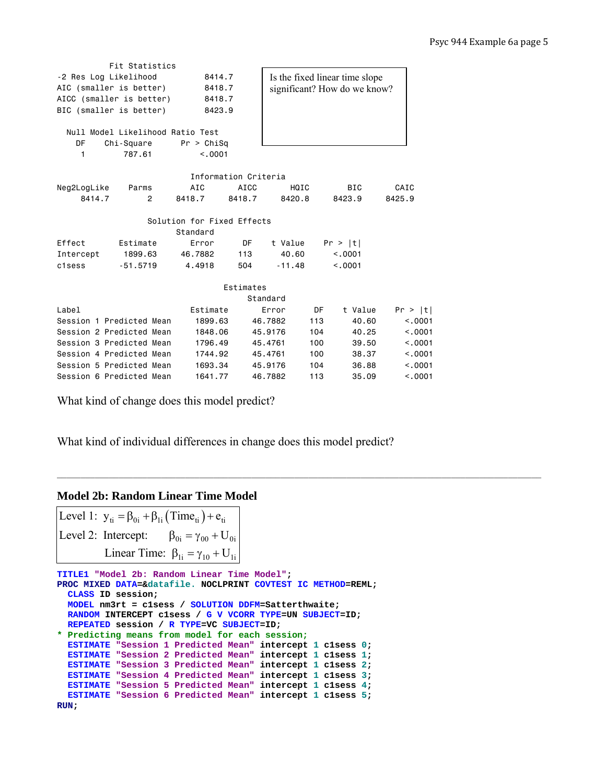|                                  | Fit Statistics |                      |           |                                |     |         |         |  |  |
|----------------------------------|----------------|----------------------|-----------|--------------------------------|-----|---------|---------|--|--|
| -2 Res Log Likelihood            |                | 8414.7               |           | Is the fixed linear time slope |     |         |         |  |  |
| AIC (smaller is better)          |                | 8418.7               |           | significant? How do we know?   |     |         |         |  |  |
| AICC (smaller is better)         |                | 8418.7               |           |                                |     |         |         |  |  |
| BIC (smaller is better)          |                | 8423.9               |           |                                |     |         |         |  |  |
|                                  |                |                      |           |                                |     |         |         |  |  |
| Null Model Likelihood Ratio Test |                |                      |           |                                |     |         |         |  |  |
| DF                               | Chi-Square     | Pr > Chisq           |           |                                |     |         |         |  |  |
| 1                                | 787.61         | < 0.001              |           |                                |     |         |         |  |  |
|                                  |                |                      |           |                                |     |         |         |  |  |
|                                  |                | Information Criteria |           |                                |     |         |         |  |  |
| Neg2LogLike                      | Parms          | AIC                  | AICC      | HQIC                           |     | BIC     | CAIC    |  |  |
| 8414.7                           | $\overline{2}$ | 8418.7               | 8418.7    | 8420.8                         |     | 8423.9  | 8425.9  |  |  |
| Solution for Fixed Effects       |                |                      |           |                                |     |         |         |  |  |
|                                  |                | Standard             |           |                                |     |         |         |  |  |
| Effect                           | Estimate       | Error                | DF        | t Value                        |     | Pr >  t |         |  |  |
| Intercept                        | 1899.63        | 46,7882              | 113       | 40.60                          |     | < 0.001 |         |  |  |
| c1sess                           | $-51.5719$     | 4.4918               | 504       | $-11.48$                       |     | < 0.001 |         |  |  |
|                                  |                |                      |           |                                |     |         |         |  |  |
|                                  |                |                      | Estimates |                                |     |         |         |  |  |
|                                  |                |                      |           | Standard                       |     |         |         |  |  |
| Label                            |                | Estimate             |           | Error                          | DF  | t Value | Pr >  t |  |  |
| Session 1 Predicted Mean         |                | 1899.63              |           | 46,7882                        | 113 | 40.60   | < 0.001 |  |  |
| Session 2 Predicted Mean         |                | 1848,06              |           | 45,9176                        | 104 | 40.25   | < 0.001 |  |  |
| Session 3 Predicted Mean         |                | 1796.49              |           | 45,4761                        | 100 | 39.50   | < 0.001 |  |  |
| Session 4 Predicted Mean         |                | 1744.92              |           | 45.4761                        | 100 | 38.37   | < 0.001 |  |  |
| Session 5 Predicted Mean         |                | 1693.34              |           | 45,9176                        | 104 | 36.88   | < 0.001 |  |  |
| Session 6 Predicted Mean         |                | 1641.77              |           | 46.7882                        | 113 | 35.09   | < 0.001 |  |  |

What kind of change does this model predict?

What kind of individual differences in change does this model predict?

**\_\_\_\_\_\_\_\_\_\_\_\_\_\_\_\_\_\_\_\_\_\_\_\_\_\_\_\_\_\_\_\_\_\_\_\_\_\_\_\_\_\_\_\_\_\_\_\_\_\_\_\_\_\_\_\_\_\_\_\_\_\_\_\_\_\_\_\_\_\_\_\_\_\_\_\_\_\_\_\_\_\_\_\_\_\_\_\_\_\_\_\_\_\_\_\_\_\_\_\_\_\_** 

## **Model 2b: Random Linear Time Model**

Level 1:  $y_{ti} = \beta_{0i} + \beta_{1i} (\text{Time}_{ti}) + e_{ti}$  $\beta_{0i} = \gamma_{00} + U_{0i}$ Linear Time:  $\beta_{1i} = \gamma_{10} + U_{1i}$ Level 2: Intercept:

```
TITLE1 "Model 2b: Random Linear Time Model";
PROC MIXED DATA=&datafile. NOCLPRINT COVTEST IC METHOD=REML; 
   CLASS ID session; 
   MODEL nm3rt = c1sess / SOLUTION DDFM=Satterthwaite; 
   RANDOM INTERCEPT c1sess / G V VCORR TYPE=UN SUBJECT=ID; 
  REPEATED session / R TYPE=VC SUBJECT=ID; 
* Predicting means from model for each session;
   ESTIMATE "Session 1 Predicted Mean" intercept 1 c1sess 0; 
   ESTIMATE "Session 2 Predicted Mean" intercept 1 c1sess 1; 
   ESTIMATE "Session 3 Predicted Mean" intercept 1 c1sess 2; 
   ESTIMATE "Session 4 Predicted Mean" intercept 1 c1sess 3; 
   ESTIMATE "Session 5 Predicted Mean" intercept 1 c1sess 4; 
   ESTIMATE "Session 6 Predicted Mean" intercept 1 c1sess 5; 
RUN;
```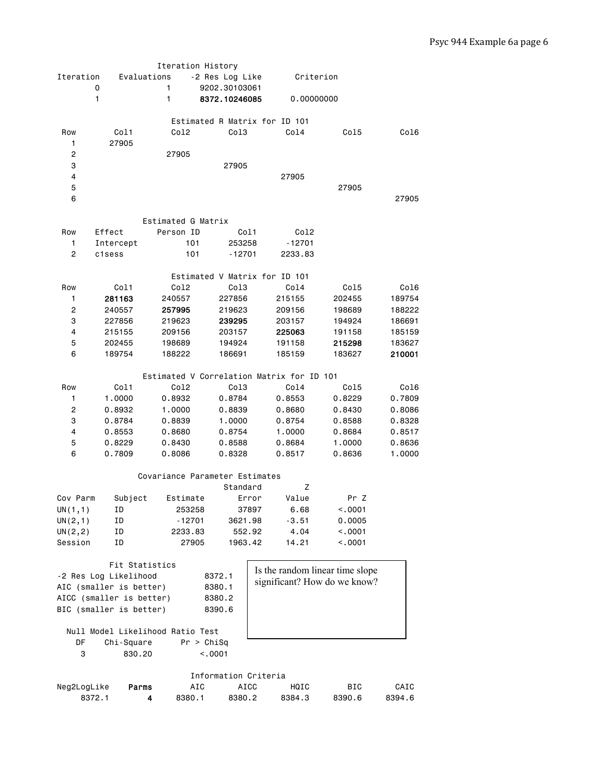| Iteration      | Evaluations<br>0<br>1            | Iteration History<br>1<br>1    | -2 Res Log Like<br>9202.30103061<br>8372.10246085 |                                           | Criterion<br>0.00000000         |        |
|----------------|----------------------------------|--------------------------------|---------------------------------------------------|-------------------------------------------|---------------------------------|--------|
| Row<br>1       | Col1<br>27905                    | Col2                           | Co13                                              | Estimated R Matrix for ID 101<br>Co14     | Col5                            | Col6   |
| $\overline{c}$ |                                  | 27905                          |                                                   |                                           |                                 |        |
| 3              |                                  |                                | 27905                                             |                                           |                                 |        |
| 4              |                                  |                                |                                                   | 27905                                     |                                 |        |
| 5              |                                  |                                |                                                   |                                           | 27905                           |        |
| 6              |                                  |                                |                                                   |                                           |                                 | 27905  |
|                |                                  | Estimated G Matrix             |                                                   |                                           |                                 |        |
| Row            | Effect                           | Person ID                      | Col1                                              | Col2                                      |                                 |        |
| 1              | Intercept                        | 101                            | 253258                                            | $-12701$                                  |                                 |        |
| $\overline{c}$ | c1sess                           | 101                            | $-12701$                                          | 2233.83                                   |                                 |        |
|                |                                  |                                |                                                   |                                           |                                 |        |
|                |                                  |                                |                                                   | Estimated V Matrix for ID 101             |                                 |        |
| Row            | Col1                             | Col2                           | Col3                                              | Col4                                      | Col5                            | Col6   |
| 1              | 281163                           | 240557                         | 227856                                            | 215155                                    | 202455                          | 189754 |
| 2              | 240557                           | 257995                         | 219623                                            | 209156                                    | 198689                          | 188222 |
| 3              | 227856                           | 219623                         | 239295                                            | 203157                                    | 194924                          | 186691 |
| 4              | 215155                           | 209156                         | 203157                                            | 225063                                    | 191158                          | 185159 |
| 5              | 202455                           | 198689                         | 194924                                            | 191158                                    | 215298                          | 183627 |
| 6              | 189754                           | 188222                         | 186691                                            | 185159                                    | 183627                          | 210001 |
|                |                                  |                                |                                                   |                                           |                                 |        |
|                |                                  |                                |                                                   | Estimated V Correlation Matrix for ID 101 |                                 |        |
| Row            | Col1                             | Co12                           | Col3                                              | Col4                                      | Col5                            | Col6   |
| 1              | 1.0000                           | 0.8932                         | 0.8784                                            | 0.8553                                    | 0.8229                          | 0.7809 |
| $\overline{c}$ | 0.8932                           | 1.0000                         | 0.8839                                            | 0.8680                                    | 0.8430                          | 0.8086 |
| 3              | 0.8784                           | 0.8839                         | 1.0000                                            | 0.8754                                    | 0.8588                          | 0.8328 |
| $\overline{4}$ | 0.8553                           | 0.8680                         | 0.8754                                            | 1.0000                                    | 0.8684                          | 0.8517 |
| 5              | 0.8229                           | 0.8430                         | 0.8588                                            | 0.8684                                    | 1.0000                          | 0.8636 |
| 6              | 0.7809                           | 0.8086                         | 0.8328                                            | 0.8517                                    | 0.8636                          | 1.0000 |
|                |                                  | Covariance Parameter Estimates | Standard                                          | z                                         |                                 |        |
| Cov Parm       | Subject                          | Estimate                       | Error                                             | Value                                     | Pr Z                            |        |
| UN(1,1)        | ID                               | 253258                         | 37897                                             | 6.68                                      | < .0001                         |        |
| UN(2,1)        | ID                               | $-12701$                       | 3621.98                                           | $-3.51$                                   | 0.0005                          |        |
| UN(2, 2)       | ΙD                               | 2233.83                        | 552.92                                            | 4.04                                      | < .0001                         |        |
| Session        | ΙD                               | 27905                          | 1963.42                                           | 14.21                                     | < .0001                         |        |
|                |                                  |                                |                                                   |                                           |                                 |        |
|                | Fit Statistics                   |                                |                                                   |                                           | Is the random linear time slope |        |
|                | -2 Res Log Likelihood            |                                | 8372.1                                            |                                           | significant? How do we know?    |        |
|                | AIC (smaller is better)          |                                | 8380.1                                            |                                           |                                 |        |
|                | AICC (smaller is better)         |                                | 8380.2                                            |                                           |                                 |        |
|                | BIC (smaller is better)          |                                | 8390.6                                            |                                           |                                 |        |
|                | Null Model Likelihood Ratio Test |                                |                                                   |                                           |                                 |        |
| DF             | Chi-Square                       |                                | Pr > Chisq                                        |                                           |                                 |        |
| 3              | 830.20                           |                                | < .0001                                           |                                           |                                 |        |
|                |                                  |                                |                                                   |                                           |                                 |        |
|                |                                  |                                | Information Criteria                              |                                           |                                 |        |
| Neg2LogLike    | Parms                            | AIC                            | <b>AICC</b>                                       | HQIC                                      | BIC                             | CAIC   |
|                | 8372.1                           | 8380.1<br>4                    | 8380.2                                            | 8384.3                                    | 8390.6                          | 8394.6 |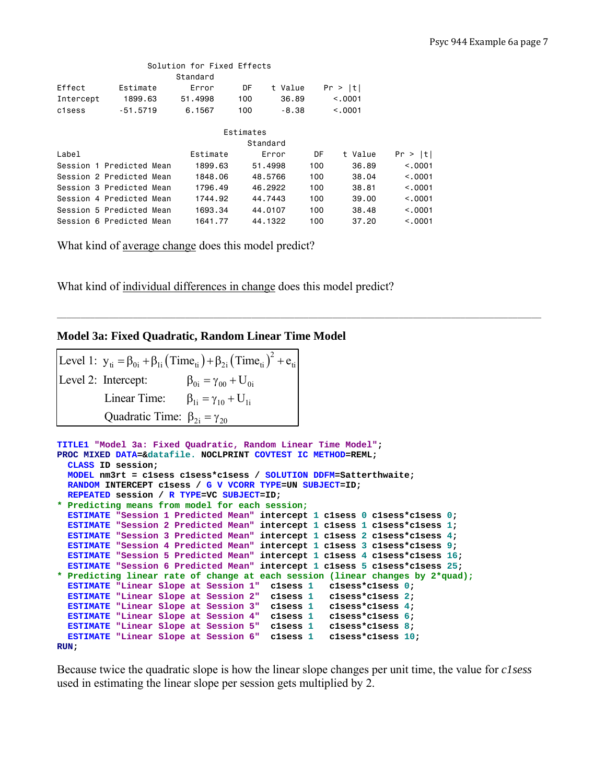|           | Solution for Fixed Effects |          |     |          |     |         |          |  |  |  |  |
|-----------|----------------------------|----------|-----|----------|-----|---------|----------|--|--|--|--|
|           |                            | Standard |     |          |     |         |          |  |  |  |  |
| Effect    | Estimate                   | Error    | DF  | t Value  |     | Pr >  t |          |  |  |  |  |
| Intercept | 1899.63                    | 51,4998  | 100 | 36.89    |     | < 0.001 |          |  |  |  |  |
| c1sess    | $-51.5719$                 | 6,1567   | 100 | $-8.38$  |     | < 0.001 |          |  |  |  |  |
|           | Estimates                  |          |     |          |     |         |          |  |  |  |  |
|           |                            |          |     |          |     |         |          |  |  |  |  |
|           |                            |          |     | Standard |     |         |          |  |  |  |  |
| Label     |                            | Estimate |     | Error    | DF  | t Value | Pr >  t  |  |  |  |  |
|           | Session 1 Predicted Mean   | 1899.63  |     | 51,4998  | 100 | 36.89   | < 0.001  |  |  |  |  |
|           | Session 2 Predicted Mean   | 1848.06  |     | 48,5766  | 100 | 38.04   | < 0.0001 |  |  |  |  |
|           | Session 3 Predicted Mean   | 1796.49  |     | 46.2922  | 100 | 38,81   | < 0.001  |  |  |  |  |
|           | Session 4 Predicted Mean   | 1744.92  |     | 44,7443  | 100 | 39.00   | < 0.001  |  |  |  |  |
|           | Session 5 Predicted Mean   | 1693.34  |     | 44,0107  | 100 | 38.48   | < 0.0001 |  |  |  |  |
|           | Session 6 Predicted Mean   | 1641.77  |     | 44.1322  | 100 | 37.20   | < .0001  |  |  |  |  |

What kind of average change does this model predict?

What kind of individual differences in change does this model predict?

#### **Model 3a: Fixed Quadratic, Random Linear Time Model**

```
Level 1: y_{ti} = \beta_{0i} + \beta_{1i} (\text{Time}_{ti}) + \beta_{2i} (\text{Time}_{ti})^2 + e_{ti}\beta_{0i} = \gamma_{00} + U_{0i}Linear Time: \beta_{1i} = \gamma_{10} + U_{1i}Quadratic Time: \beta_{2i} = \gamma_{20}Level 2: Intercept:
```

```
TITLE1 "Model 3a: Fixed Quadratic, Random Linear Time Model"; 
PROC MIXED DATA=&datafile. NOCLPRINT COVTEST IC METHOD=REML; 
  CLASS ID session; 
  MODEL nm3rt = c1sess c1sess*c1sess / SOLUTION DDFM=Satterthwaite; 
  RANDOM INTERCEPT c1sess / G V VCORR TYPE=UN SUBJECT=ID; 
  REPEATED session / R TYPE=VC SUBJECT=ID; 
* Predicting means from model for each session;
  ESTIMATE "Session 1 Predicted Mean" intercept 1 c1sess 0 c1sess*c1sess 0; 
  ESTIMATE "Session 2 Predicted Mean" intercept 1 c1sess 1 c1sess*c1sess 1; 
  ESTIMATE "Session 3 Predicted Mean" intercept 1 c1sess 2 c1sess*c1sess 4; 
  ESTIMATE "Session 4 Predicted Mean" intercept 1 c1sess 3 c1sess*c1sess 9; 
  ESTIMATE "Session 5 Predicted Mean" intercept 1 c1sess 4 c1sess*c1sess 16; 
  ESTIMATE "Session 6 Predicted Mean" intercept 1 c1sess 5 c1sess*c1sess 25; 
* Predicting linear rate of change at each session (linear changes by 2*quad);
  ESTIMATE "Linear Slope at Session 1" c1sess 1 c1sess*c1sess 0; 
  ESTIMATE "Linear Slope at Session 2" c1sess 1 c1sess*c1sess 2; 
 ESTIMATE "Linear Slope at Session 3" c1sess 1
  ESTIMATE "Linear Slope at Session 4" c1sess 1 c1sess*c1sess 6; 
ESTIMATE "Linear Slope at Session 5" clsess 1 clsess*clsess 8;
ESTIMATE "Linear Slope at Session 6" clsess 1 clsess*clsess 10;
RUN;
```
Because twice the quadratic slope is how the linear slope changes per unit time, the value for *c1sess* used in estimating the linear slope per session gets multiplied by 2.

**\_\_\_\_\_\_\_\_\_\_\_\_\_\_\_\_\_\_\_\_\_\_\_\_\_\_\_\_\_\_\_\_\_\_\_\_\_\_\_\_\_\_\_\_\_\_\_\_\_\_\_\_\_\_\_\_\_\_\_\_\_\_\_\_\_\_\_\_\_\_\_\_\_\_\_\_\_\_\_\_\_\_\_\_\_\_\_\_\_\_\_\_\_\_\_\_\_\_\_\_\_\_**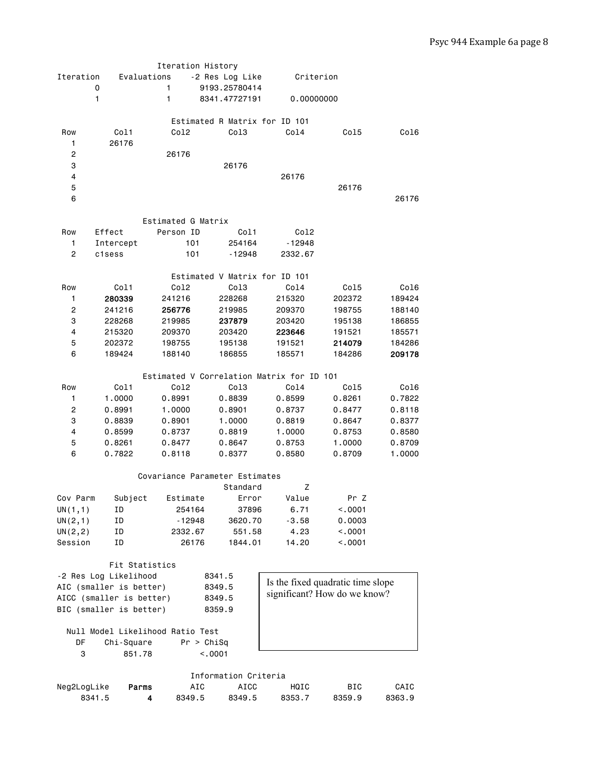|                |                                  | Iteration History  |                                |                                           |         |        |
|----------------|----------------------------------|--------------------|--------------------------------|-------------------------------------------|---------|--------|
| Iteration      | Evaluations                      |                    | -2 Res Log Like                | Criterion                                 |         |        |
|                | 0                                | 1                  | 9193.25780414                  |                                           |         |        |
|                | 1                                | 1                  | 8341.47727191                  | 0,00000000                                |         |        |
|                |                                  |                    |                                |                                           |         |        |
|                |                                  |                    | Estimated R Matrix for ID 101  |                                           |         |        |
| Row            | Col1                             | Co12               | Col <sub>3</sub>               | Co14                                      | Col5    | Col6   |
| 1.             | 26176                            |                    |                                |                                           |         |        |
|                |                                  |                    |                                |                                           |         |        |
| 2              |                                  | 26176              |                                |                                           |         |        |
| 3              |                                  |                    | 26176                          |                                           |         |        |
| 4              |                                  |                    |                                | 26176                                     |         |        |
| 5              |                                  |                    |                                |                                           | 26176   |        |
| 6              |                                  |                    |                                |                                           |         | 26176  |
|                |                                  |                    |                                |                                           |         |        |
|                |                                  | Estimated G Matrix |                                |                                           |         |        |
| Row            | Effect                           | Person ID          | Col1                           | Col2                                      |         |        |
| 1              | Intercept                        | 101                | 254164                         | -12948                                    |         |        |
| $\overline{c}$ | c1sess                           | 101                | -12948                         | 2332.67                                   |         |        |
|                |                                  |                    |                                |                                           |         |        |
|                |                                  |                    | Estimated V Matrix for ID 101  |                                           |         |        |
|                |                                  |                    |                                |                                           |         |        |
| Row            | Col1                             | Col2               | Col3                           | Col4                                      | Col5    | Col6   |
| 1              | 280339                           | 241216             | 228268                         | 215320                                    | 202372  | 189424 |
| $\overline{c}$ | 241216                           | 256776             | 219985                         | 209370                                    | 198755  | 188140 |
| 3              | 228268                           | 219985             | 237879                         | 203420                                    | 195138  | 186855 |
| 4              | 215320                           | 209370             | 203420                         | 223646                                    | 191521  | 185571 |
| 5              | 202372                           | 198755             | 195138                         | 191521                                    | 214079  | 184286 |
| 6              | 189424                           | 188140             | 186855                         | 185571                                    | 184286  | 209178 |
|                |                                  |                    |                                |                                           |         |        |
|                |                                  |                    |                                | Estimated V Correlation Matrix for ID 101 |         |        |
| Row            | Col1                             | Co12               | Col3                           | Co14                                      | Col5    | Col6   |
| 1              | 1.0000                           | 0.8991             | 0.8839                         | 0.8599                                    | 0.8261  | 0.7822 |
| 2              | 0.8991                           | 1.0000             | 0.8901                         | 0.8737                                    | 0.8477  | 0.8118 |
|                |                                  |                    |                                |                                           |         |        |
| 3              | 0.8839                           | 0.8901             | 1.0000                         | 0.8819                                    | 0.8647  | 0.8377 |
| $\overline{4}$ | 0.8599                           | 0.8737             | 0.8819                         | 1.0000                                    | 0.8753  | 0.8580 |
| 5              | 0.8261                           | 0.8477             | 0.8647                         | 0.8753                                    | 1.0000  | 0.8709 |
| 6              | 0.7822                           | 0.8118             | 0.8377                         | 0.8580                                    | 0.8709  | 1.0000 |
|                |                                  |                    |                                |                                           |         |        |
|                |                                  |                    | Covariance Parameter Estimates |                                           |         |        |
|                |                                  |                    | Standard                       | z                                         |         |        |
| Cov Parm       | Subject                          | Estimate           | Error                          | Value                                     | Pr Z    |        |
| UN(1,1)        | 1D.                              | 254164             | 37896                          | 6.71                                      | <.0001  |        |
| UN(2,1)        | ID                               | - 12948            | 3620.70                        | $-3.58$                                   | 0.0003  |        |
| UN(2, 2)       | ID                               | 2332.67            | 551.58                         | 4.23                                      | < 0.001 |        |
| Session        | ΙD                               | 26176              | 1844.01                        | 14.20                                     | < 0001  |        |
|                |                                  |                    |                                |                                           |         |        |
|                |                                  |                    |                                |                                           |         |        |
|                | Fit Statistics                   |                    |                                |                                           |         |        |
|                | -2 Res Log Likelihood            |                    | 8341.5                         | Is the fixed quadratic time slope         |         |        |
|                | AIC (smaller is better)          |                    | 8349.5                         | significant? How do we know?              |         |        |
|                | AICC (smaller is better)         |                    | 8349.5                         |                                           |         |        |
|                | BIC (smaller is better)          |                    | 8359.9                         |                                           |         |        |
|                |                                  |                    |                                |                                           |         |        |
|                | Null Model Likelihood Ratio Test |                    |                                |                                           |         |        |
| DF             | Chi-Square                       | Pr > Chisq         |                                |                                           |         |        |
| 3              | 851.78                           |                    | < .0001                        |                                           |         |        |
|                |                                  |                    |                                |                                           |         |        |
|                |                                  |                    | Information Criteria           |                                           |         |        |
|                |                                  |                    |                                |                                           |         |        |

|             |       |        | THINIMALION OF ILEFIA |        |            |        |
|-------------|-------|--------|-----------------------|--------|------------|--------|
| Neg2LogLike | Parms | AIC    | ATCC                  | HOTC   | <b>BTC</b> | CAIC   |
| 8341.5      |       | 8349.5 | 8349.5                | 8353.7 | 8359.9     | 8363.9 |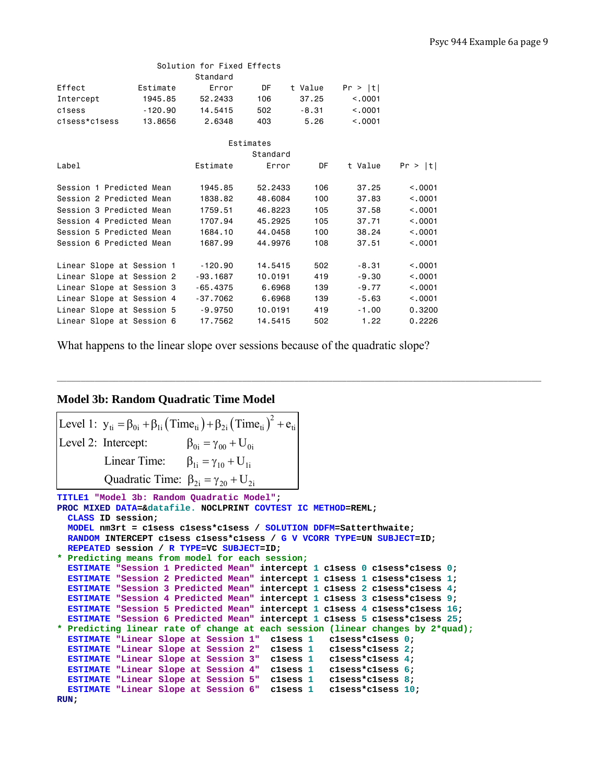| Solution for Fixed Effects |           |            |           |         |         |         |  |  |  |
|----------------------------|-----------|------------|-----------|---------|---------|---------|--|--|--|
|                            |           | Standard   |           |         |         |         |  |  |  |
| Effect                     | Estimate  | Error      | DF        | t Value | Pr >  t |         |  |  |  |
| Intercept                  | 1945.85   | 52,2433    | 106       | 37.25   | < 0.001 |         |  |  |  |
| c1sess                     | $-120.90$ | 14,5415    | 502       | -8.31   | < 0.001 |         |  |  |  |
| c1sess*c1sess              | 13,8656   | 2.6348     | 403       | 5.26    | < 0.001 |         |  |  |  |
|                            |           |            |           |         |         |         |  |  |  |
|                            |           |            | Estimates |         |         |         |  |  |  |
|                            |           |            | Standard  |         |         |         |  |  |  |
| Label                      |           | Estimate   | Error     | DF      | t Value | Pr >  t |  |  |  |
|                            |           |            |           |         |         |         |  |  |  |
| Session 1 Predicted Mean   |           | 1945.85    | 52,2433   | 106     | 37.25   | < 0.001 |  |  |  |
| Session 2 Predicted Mean   |           | 1838.82    | 48,6084   | 100     | 37.83   | < 0.001 |  |  |  |
| Session 3 Predicted Mean   |           | 1759.51    | 46,8223   | 105     | 37.58   | < 0.001 |  |  |  |
| Session 4 Predicted Mean   |           | 1707.94    | 45,2925   | 105     | 37.71   | < 0.001 |  |  |  |
| Session 5 Predicted Mean   |           | 1684.10    | 44,0458   | 100     | 38.24   | < 0.001 |  |  |  |
| Session 6 Predicted Mean   |           | 1687.99    | 44,9976   | 108     | 37.51   | < 0.001 |  |  |  |
|                            |           |            |           |         |         |         |  |  |  |
| Linear Slope at Session 1  |           | $-120.90$  | 14.5415   | 502     | $-8.31$ | < 0.001 |  |  |  |
| Linear Slope at Session 2  |           | $-93.1687$ | 10,0191   | 419     | $-9.30$ | < 0.001 |  |  |  |
| Linear Slope at Session 3  |           | $-65.4375$ | 6,6968    | 139     | $-9.77$ | < 0.001 |  |  |  |
| Linear Slope at Session 4  |           | $-37.7062$ | 6,6968    | 139     | $-5.63$ | < .0001 |  |  |  |
| Linear Slope at Session 5  |           | -9.9750    | 10,0191   | 419     | $-1.00$ | 0.3200  |  |  |  |
| Linear Slope at Session 6  |           | 17,7562    | 14.5415   | 502     | 1.22    | 0.2226  |  |  |  |
|                            |           |            |           |         |         |         |  |  |  |

What happens to the linear slope over sessions because of the quadratic slope?

**\_\_\_\_\_\_\_\_\_\_\_\_\_\_\_\_\_\_\_\_\_\_\_\_\_\_\_\_\_\_\_\_\_\_\_\_\_\_\_\_\_\_\_\_\_\_\_\_\_\_\_\_\_\_\_\_\_\_\_\_\_\_\_\_\_\_\_\_\_\_\_\_\_\_\_\_\_\_\_\_\_\_\_\_\_\_\_\_\_\_\_\_\_\_\_\_\_\_\_\_\_\_** 

#### **Model 3b: Random Quadratic Time Model**

```
TITLE1 "Model 3b: Random Quadratic Model"; 
PROC MIXED DATA=&datafile. NOCLPRINT COVTEST IC METHOD=REML; 
   CLASS ID session; 
   MODEL nm3rt = c1sess c1sess*c1sess / SOLUTION DDFM=Satterthwaite; 
Level 1: y_{ti} = \beta_{0i} + \beta_{1i} (\text{Time}_{ti}) + \beta_{2i} (\text{Time}_{ti})^2 + e_{ti}\beta_{0i} = \gamma_{00} + U_{0i}Linear Time: \beta_{1i} = \gamma_{10} + U_{1i}Quadratic Time: \beta_{2i} = \gamma_{20} + U_{2i}Level 2: Intercept:
```

```
 RANDOM INTERCEPT c1sess c1sess*c1sess / G V VCORR TYPE=UN SUBJECT=ID; 
  REPEATED session / R TYPE=VC SUBJECT=ID; 
* Predicting means from model for each session;
  ESTIMATE "Session 1 Predicted Mean" intercept 1 c1sess 0 c1sess*c1sess 0; 
 ESTIMATE "Session 2 Predicted Mean" intercept 1 clsess 1 clsess*clsess 1;
  ESTIMATE "Session 3 Predicted Mean" intercept 1 c1sess 2 c1sess*c1sess 4; 
  ESTIMATE "Session 4 Predicted Mean" intercept 1 c1sess 3 c1sess*c1sess 9; 
  ESTIMATE "Session 5 Predicted Mean" intercept 1 c1sess 4 c1sess*c1sess 16; 
  ESTIMATE "Session 6 Predicted Mean" intercept 1 c1sess 5 c1sess*c1sess 25; 
* Predicting linear rate of change at each session (linear changes by 2*quad);
  ESTIMATE "Linear Slope at Session 1" c1sess 1 c1sess*c1sess 0; 
  ESTIMATE "Linear Slope at Session 2" c1sess 1 c1sess*c1sess 2; 
  ESTIMATE "Linear Slope at Session 3" c1sess 1 c1sess*c1sess 4; 
  ESTIMATE "Linear Slope at Session 4" c1sess 1 c1sess*c1sess 6; 
 ESTIMATE "Linear Slope at Session 5" clsess 1
 ESTIMATE "Linear Slope at Session 6" clsess 1 clsess*clsess 10;
RUN;
```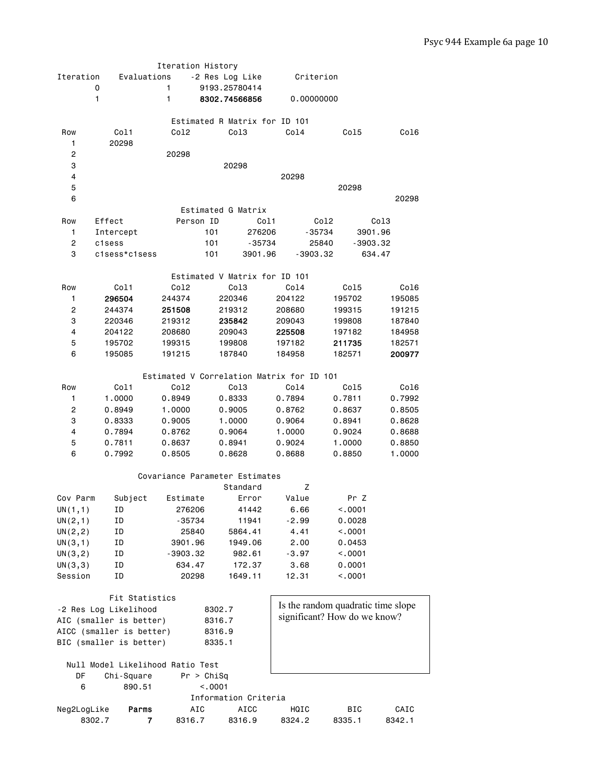|                     |                                  | Iteration History                         |                               |             |                              |            |                        |                                    |
|---------------------|----------------------------------|-------------------------------------------|-------------------------------|-------------|------------------------------|------------|------------------------|------------------------------------|
| Iteration           | Evaluations                      |                                           | -2 Res Log Like               |             |                              | Criterion  |                        |                                    |
|                     | 0                                | 1                                         | 9193.25780414                 |             |                              |            |                        |                                    |
|                     | 1                                | 1                                         | 8302.74566856                 |             |                              | 0,00000000 |                        |                                    |
|                     |                                  |                                           |                               |             |                              |            |                        |                                    |
|                     |                                  |                                           | Estimated R Matrix for ID 101 |             |                              |            |                        |                                    |
| Row                 | Col1                             | Co12                                      | Co13                          |             | Col4                         |            | Col5                   | Col6                               |
| 1                   | 20298                            |                                           |                               |             |                              |            |                        |                                    |
| 2<br>3              |                                  | 20298                                     | 20298                         |             |                              |            |                        |                                    |
| 4                   |                                  |                                           |                               |             | 20298                        |            |                        |                                    |
| 5                   |                                  |                                           |                               |             |                              |            | 20298                  |                                    |
| 6                   |                                  |                                           |                               |             |                              |            |                        | 20298                              |
|                     |                                  |                                           | Estimated G Matrix            |             |                              |            |                        |                                    |
| Row                 | Effect                           | Person ID                                 |                               | Col1        |                              | Col2       |                        | Col3                               |
| 1                   | Intercept                        |                                           | 101                           | 276206      |                              | $-35734$   |                        | 3901.96                            |
| 2                   | c1sess                           |                                           | 101                           | $-35734$    |                              | 25840      |                        | $-3903.32$                         |
| 3                   | c1sess*c1sess                    |                                           | 101                           | 3901.96     |                              | $-3903.32$ |                        | 634.47                             |
|                     |                                  |                                           |                               |             |                              |            |                        |                                    |
|                     |                                  |                                           | Estimated V Matrix for ID 101 |             |                              |            |                        |                                    |
| Row                 | Col1                             | Co12                                      | Col3                          |             | Col4                         |            | Col5                   | Col6                               |
| 1                   | 296504                           | 244374                                    | 220346                        |             | 204122                       |            | 195702                 | 195085                             |
| 2                   | 244374                           | 251508                                    | 219312                        |             | 208680                       |            | 199315                 | 191215                             |
| 3                   | 220346                           | 219312                                    | 235842                        |             | 209043                       |            | 199808                 | 187840                             |
| 4                   | 204122                           | 208680                                    | 209043                        |             | 225508                       |            | 197182                 | 184958                             |
| 5                   | 195702                           | 199315                                    | 199808                        |             | 197182                       |            | 211735                 | 182571                             |
| 6                   | 195085                           | 191215                                    | 187840                        |             | 184958                       |            | 182571                 | 200977                             |
|                     |                                  |                                           |                               |             |                              |            |                        |                                    |
|                     |                                  | Estimated V Correlation Matrix for ID 101 |                               |             |                              |            |                        |                                    |
| Row                 | Col1                             | Co12                                      | Col3                          |             | Co14                         |            | Col5                   | Col6                               |
| 1                   | 1.0000                           | 0.8949                                    | 0.8333                        |             | 0.7894                       |            | 0.7811                 | 0.7992                             |
| 2                   | 0.8949                           | 1.0000                                    | 0.9005                        |             | 0.8762                       |            | 0.8637                 | 0.8505                             |
| 3                   | 0.8333                           | 0.9005                                    | 1.0000                        |             | 0.9064                       |            | 0.8941                 | 0.8628                             |
| 4                   | 0.7894                           | 0.8762                                    | 0.9064                        |             | 1.0000                       |            | 0.9024                 | 0.8688                             |
| 5                   | 0.7811                           | 0.8637                                    | 0.8941                        |             | 0.9024                       |            | 1.0000                 | 0.8850                             |
| 6                   | 0.7992                           | 0.8505                                    | 0.8628                        |             | 0.8688                       |            | 0.8850                 | 1.0000                             |
|                     |                                  |                                           |                               |             |                              |            |                        |                                    |
|                     |                                  | Covariance Parameter Estimates            |                               |             |                              |            |                        |                                    |
| Cov Parm            | Subject                          | Estimate                                  | Standard                      | Error       | z<br>Value                   |            | Pr Z                   |                                    |
|                     |                                  | 276206                                    |                               | 41442       | 6.66                         |            |                        |                                    |
| UN(1,1)             | TD<br>ΙD                         | -35734                                    |                               | 11941       | $-2.99$                      |            | $\sim$ .0001<br>0.0028 |                                    |
| UN(2,1)<br>UN(2, 2) | ID                               | 25840                                     | 5864.41                       |             | 4.41                         |            | < .0001                |                                    |
| UN(3,1)             | ΙD                               | 3901.96                                   | 1949.06                       |             | 2.00                         |            | 0.0453                 |                                    |
| UN(3,2)             | ΙD                               | $-3903.32$                                |                               | 982.61      | $-3.97$                      |            | < .0001                |                                    |
| UN(3,3)             | ΙD                               | 634.47                                    |                               | 172.37      | 3.68                         |            | 0.0001                 |                                    |
| Session             | ΙD                               | 20298                                     | 1649.11                       |             | 12.31                        |            | < .0001                |                                    |
|                     |                                  |                                           |                               |             |                              |            |                        |                                    |
|                     | Fit Statistics                   |                                           |                               |             |                              |            |                        |                                    |
|                     | -2 Res Log Likelihood            |                                           | 8302.7                        |             |                              |            |                        | Is the random quadratic time slope |
|                     | AIC (smaller is better)          |                                           | 8316.7                        |             | significant? How do we know? |            |                        |                                    |
|                     | AICC (smaller is better)         |                                           | 8316.9                        |             |                              |            |                        |                                    |
|                     | BIC (smaller is better)          |                                           | 8335.1                        |             |                              |            |                        |                                    |
|                     |                                  |                                           |                               |             |                              |            |                        |                                    |
|                     | Null Model Likelihood Ratio Test |                                           |                               |             |                              |            |                        |                                    |
| DF                  | Chi-Square                       | Pr > Chisq                                |                               |             |                              |            |                        |                                    |
| 6                   | 890.51                           |                                           | < .0001                       |             |                              |            |                        |                                    |
|                     |                                  |                                           | Information Criteria          |             |                              |            |                        |                                    |
| Neg2LogLike         | Parms                            | AIC                                       |                               | <b>AICC</b> | HQIC                         |            | BIC                    | CAIC                               |
|                     | 8302.7<br>7                      | 8316.7                                    | 8316.9                        |             | 8324.2                       |            | 8335.1                 | 8342.1                             |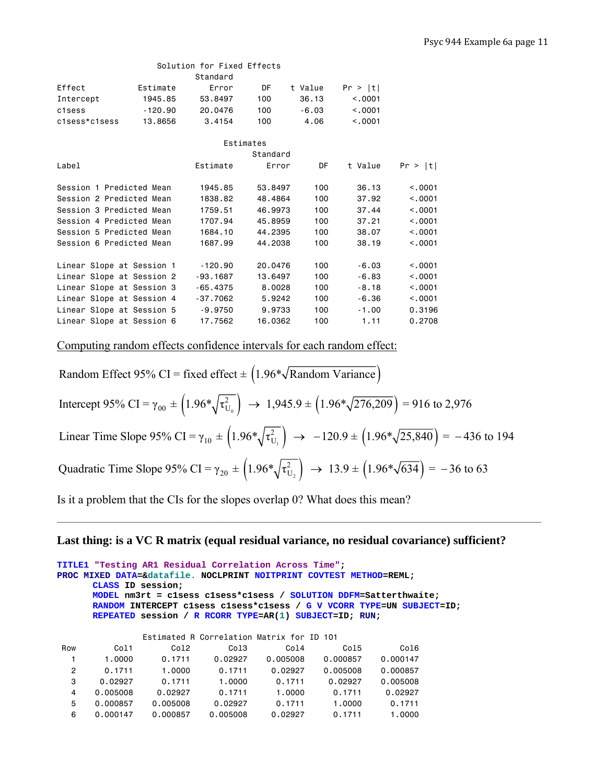|                           |           | Solution for Fixed Effects |          |         |         |         |
|---------------------------|-----------|----------------------------|----------|---------|---------|---------|
|                           |           | Standard                   |          |         |         |         |
| Effect                    | Estimate  | Error                      | DF       | t Value | Pr >  t |         |
| Intercept                 | 1945.85   | 53,8497                    | 100      | 36.13   | < 0.001 |         |
| c1sess                    | $-120.90$ | 20.0476                    | 100      | $-6.03$ | < 0.001 |         |
| c1sess*c1sess             | 13,8656   | 3.4154                     | 100      | 4.06    | < 0.001 |         |
|                           |           | Estimates                  |          |         |         |         |
|                           |           |                            | Standard |         |         |         |
|                           |           |                            |          |         |         |         |
| Label                     |           | Estimate                   | Error    | DF      | t Value | Pr >  t |
| Session 1 Predicted Mean  |           | 1945.85                    | 53,8497  | 100     | 36.13   | < 0.001 |
| Session 2 Predicted Mean  |           | 1838.82                    | 48,4864  | 100     | 37.92   | < 0.001 |
| Session 3 Predicted Mean  |           | 1759.51                    | 46,9973  | 100     | 37.44   | < 0.001 |
| Session 4 Predicted Mean  |           | 1707.94                    | 45,8959  | 100     | 37.21   | < 0.001 |
| Session 5 Predicted Mean  |           | 1684.10                    | 44,2395  | 100     | 38.07   | < 0.001 |
| Session 6 Predicted Mean  |           | 1687.99                    | 44,2038  | 100     | 38.19   | < 0.001 |
|                           |           |                            |          |         |         |         |
| Linear Slope at Session 1 |           | $-120.90$                  | 20,0476  | 100     | $-6.03$ | < 0.001 |
| Linear Slope at Session 2 |           | $-93,1687$                 | 13,6497  | 100     | $-6.83$ | < .0001 |
| Linear Slope at Session 3 |           | $-65.4375$                 | 8,0028   | 100     | $-8.18$ | < 0.001 |
| Linear Slope at Session 4 |           | $-37.7062$                 | 5.9242   | 100     | $-6.36$ | < 0.001 |
| Linear Slope at Session 5 |           | $-9.9750$                  | 9.9733   | 100     | $-1.00$ | 0.3196  |
| Linear Slope at Session 6 |           | 17.7562                    | 16,0362  | 100     | 1.11    | 0.2708  |
|                           |           |                            |          |         |         |         |

Computing random effects confidence intervals for each random effect:

Random Effect 95% CI = fixed effect  $\pm$  (1.96\* $\sqrt{\text{Random Variance}}$ )

 $(1.96*\sqrt{\tau_{U_0}}) \rightarrow 1,945.9 \pm (1.96*\sqrt{276,209})$  $(1.96*\sqrt{\tau_{U_1}}) \rightarrow -120.9* (1.96*\sqrt{25,840})$ 2 Intercept 95% CI =  $\gamma_{00} \pm (1.96 \sqrt[4]{\tau_{U_0}}) \rightarrow 1,945.9 \pm (1.96 \sqrt[4]{276,209}) = 916$  to 2,976 2 Linear Time Slope 95% CI =  $\gamma_{10} \pm (1.96 \sqrt[4]{\tau_{U_1}^2}) \rightarrow -120.9 \pm (1.96 \sqrt[4]{25,840}) = -436$  to 194  $\left(1.96*\sqrt{\tau_{U_2}^2}\right) \rightarrow 13.9 \pm \left(1.96*\sqrt{634}\right)$ Quadratic Time Slope 95% CI =  $\gamma_{20} \pm (1.96 \sqrt[4]{\tau_{U_2}^2}) \rightarrow 13.9 \pm (1.96 \sqrt[4]{634}) = -36$  to 63

Is it a problem that the CIs for the slopes overlap 0? What does this mean?

## Last thing: is a VC R matrix (equal residual variance, no residual covariance) sufficient?

**\_\_\_\_\_\_\_\_\_\_\_\_\_\_\_\_\_\_\_\_\_\_\_\_\_\_\_\_\_\_\_\_\_\_\_\_\_\_\_\_\_\_\_\_\_\_\_\_\_\_\_\_\_\_\_\_\_\_\_\_\_\_\_\_\_\_\_\_\_\_\_\_\_\_\_\_\_\_\_\_\_\_\_\_\_\_\_\_\_\_\_\_\_\_\_\_\_\_\_\_\_\_** 

| TITLE1 "Testing AR1 Residual Correlation Across Time"; |                   |          |                                           |          |                                                                                          |                                                                       |  |
|--------------------------------------------------------|-------------------|----------|-------------------------------------------|----------|------------------------------------------------------------------------------------------|-----------------------------------------------------------------------|--|
|                                                        |                   |          |                                           |          | PROC MIXED        DATA=&datafile. NOCLPRINT        NOITPRINT        COVTEST METHOD=REML; |                                                                       |  |
|                                                        | CLASS ID session: |          |                                           |          |                                                                                          |                                                                       |  |
|                                                        |                   |          |                                           |          |                                                                                          | MODEL nm3rt = clsess clsess*clsess / SOLUTION DDFM=Satterthwaite;     |  |
|                                                        |                   |          |                                           |          |                                                                                          | RANDOM INTERCEPT clsess clsess*clsess / G V VCORR TYPE=UN SUBJECT=ID; |  |
|                                                        |                   |          |                                           |          | REPEATED session / R RCORR TYPE=AR(1) SUBJECT=ID; RUN;                                   |                                                                       |  |
|                                                        |                   |          |                                           |          |                                                                                          |                                                                       |  |
|                                                        |                   |          | Estimated R Correlation Matrix for ID 101 |          |                                                                                          |                                                                       |  |
| Row                                                    | Col1              | Col2     | Col3                                      | Col4     | Co15                                                                                     | Co16                                                                  |  |
| 1                                                      | 1.0000            | 0.1711   | 0.02927                                   | 0.005008 | 0.000857                                                                                 | 0.000147                                                              |  |
| $\overline{2}$                                         | 0.1711            | 1.0000   | 0.1711                                    | 0.02927  | 0.005008                                                                                 | 0.000857                                                              |  |
| 3                                                      | 0.02927           | 0.1711   | 1.0000                                    | 0.1711   | 0.02927                                                                                  | 0.005008                                                              |  |
| 4                                                      | 0.005008          | 0.02927  | 0.1711                                    | 1.0000   | 0.1711                                                                                   | 0.02927                                                               |  |
| 5                                                      | 0.000857          | 0.005008 | 0.02927                                   | 0.1711   | 1.0000                                                                                   | 0.1711                                                                |  |
| 6                                                      | 0.000147          | 0.000857 | 0.005008                                  | 0.02927  | 0.1711                                                                                   | 1.0000                                                                |  |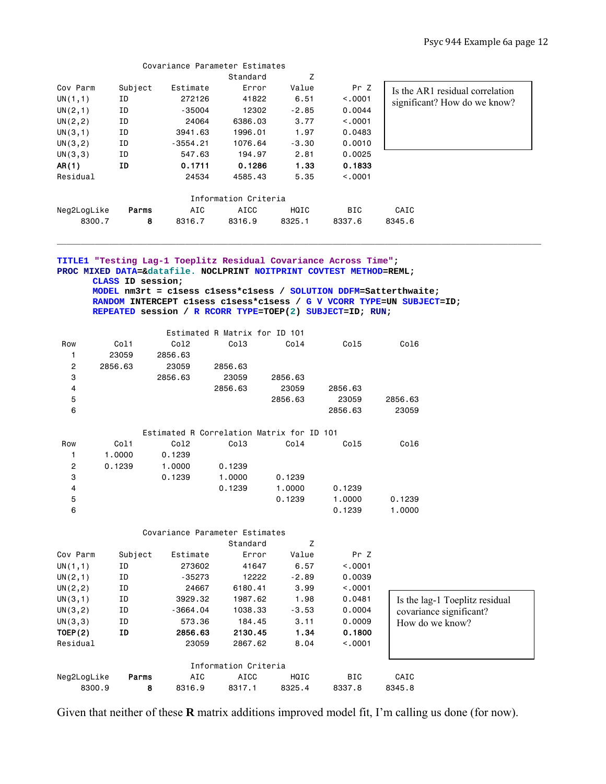|                |                   | Covariance Parameter Estimates                                                                                                  |                               |         |                  |                                                                                                                                            |
|----------------|-------------------|---------------------------------------------------------------------------------------------------------------------------------|-------------------------------|---------|------------------|--------------------------------------------------------------------------------------------------------------------------------------------|
|                |                   |                                                                                                                                 | Standard                      | Z       |                  |                                                                                                                                            |
| Cov Parm       | Subject           | Estimate                                                                                                                        | Error                         | Value   | Pr Z             | Is the AR1 residual correlation                                                                                                            |
| UN(1,1)        | ID                | 272126                                                                                                                          | 41822                         | 6.51    | < .0001          | significant? How do we know?                                                                                                               |
| UN(2, 1)       | ΙD                | -35004                                                                                                                          | 12302                         | $-2.85$ | 0.0044           |                                                                                                                                            |
| UN(2, 2)       | ΙD                | 24064                                                                                                                           | 6386.03                       | 3.77    | < .0001          |                                                                                                                                            |
| UN(3,1)        | ΙD                | 3941.63                                                                                                                         | 1996.01                       | 1.97    | 0.0483           |                                                                                                                                            |
| UN(3, 2)       | ΙD                | $-3554.21$                                                                                                                      | 1076.64                       | $-3.30$ | 0.0010           |                                                                                                                                            |
| UN(3,3)        | ΙD                | 547.63                                                                                                                          | 194.97                        | 2.81    | 0.0025           |                                                                                                                                            |
| AR(1)          | ID                | 0.1711                                                                                                                          | 0.1286                        | 1.33    | 0.1833           |                                                                                                                                            |
| Residual       |                   | 24534                                                                                                                           | 4585.43                       | 5.35    | < .0001          |                                                                                                                                            |
|                |                   |                                                                                                                                 |                               |         |                  |                                                                                                                                            |
|                |                   |                                                                                                                                 | Information Criteria          |         |                  |                                                                                                                                            |
| Neg2LogLike    | Parms             | AIC                                                                                                                             | AICC                          | HQIC    | BIC              | CAIC                                                                                                                                       |
| 8300.7         | 8                 | 8316.7                                                                                                                          | 8316.9                        | 8325.1  | 8337.6           | 8345.6                                                                                                                                     |
|                | CLASS ID session; | PROC MIXED DATA=&datafile. NOCLPRINT NOITPRINT COVTEST METHOD=REML;<br>REPEATED session / R RCORR TYPE=TOEP(2) SUBJECT=ID; RUN; |                               |         |                  | MODEL nm3rt = clsess clsess*clsess / SOLUTION DDFM=Satterthwaite;<br>RANDOM INTERCEPT clsess clsess*clsess / G V VCORR TYPE=UN SUBJECT=ID; |
|                |                   |                                                                                                                                 | Estimated R Matrix for ID 101 |         |                  |                                                                                                                                            |
| Row            | Col1              | Col <sub>2</sub>                                                                                                                | Col <sub>3</sub>              | Col4    | Col5             | Col6                                                                                                                                       |
| 1.             | 23059             | 2856.63                                                                                                                         |                               |         |                  |                                                                                                                                            |
| $\overline{c}$ | 2856.63           | 23059                                                                                                                           | 2856.63                       |         |                  |                                                                                                                                            |
| 3              |                   | 2856.63                                                                                                                         | 23059                         | 2856.63 |                  |                                                                                                                                            |
| 4              |                   |                                                                                                                                 | 2856.63                       | 23059   | 2856.63          |                                                                                                                                            |
| 5              |                   |                                                                                                                                 |                               | 2856.63 | 23059            | 2856.63                                                                                                                                    |
| 6              |                   |                                                                                                                                 |                               |         | 2856.63          | 23059                                                                                                                                      |
|                |                   |                                                                                                                                 |                               |         |                  |                                                                                                                                            |
|                |                   | Estimated R Correlation Matrix for ID 101                                                                                       |                               |         |                  |                                                                                                                                            |
| Row            | Col1              | Col2                                                                                                                            | Col3                          | Col4    | Col5             | Col6                                                                                                                                       |
| 1<br>2         | 1.0000<br>0.1239  | 0.1239                                                                                                                          | 0.1239                        |         |                  |                                                                                                                                            |
| 3              |                   | 1.0000<br>0.1239                                                                                                                | 1.0000                        | 0.1239  |                  |                                                                                                                                            |
|                |                   |                                                                                                                                 |                               |         |                  |                                                                                                                                            |
| 4              |                   |                                                                                                                                 | 0.1239                        | 1.0000  | 0.1239<br>1.0000 |                                                                                                                                            |
| 5              |                   |                                                                                                                                 |                               | 0.1239  |                  | 0.1239                                                                                                                                     |
| 6              |                   |                                                                                                                                 |                               |         | 0.1239           | 1.0000                                                                                                                                     |
|                |                   | Covariance Parameter Estimates                                                                                                  |                               |         |                  |                                                                                                                                            |
|                |                   |                                                                                                                                 | Standard                      | Ζ       |                  |                                                                                                                                            |
| Cov Parm       | Subject           | Estimate                                                                                                                        | Error                         | Value   | Pr Z             |                                                                                                                                            |
| UN(1,1)        | ΙD                | 273602                                                                                                                          | 41647                         | 6.57    | < .0001          |                                                                                                                                            |
| UN(2,1)        | ID                | $-35273$                                                                                                                        | 12222                         | $-2.89$ | 0.0039           |                                                                                                                                            |
| UN(2, 2)       | ID                | 24667                                                                                                                           | 6180.41                       | 3.99    | < .0001          |                                                                                                                                            |
| UN(3,1)        | ID                | 3929.32                                                                                                                         | 1987.62                       | 1.98    | 0.0481           | Is the lag-1 Toeplitz residual                                                                                                             |
| UN(3,2)        | ΙD                | $-3664.04$                                                                                                                      | 1038.33                       | $-3.53$ | 0.0004           | covariance significant?                                                                                                                    |
| UN(3,3)        | ID                | 573.36                                                                                                                          | 184.45                        | 3.11    | 0.0009           | How do we know?                                                                                                                            |
| TOEP(2)        | ID                | 2856.63                                                                                                                         | 2130.45                       | 1.34    | 0.1800           |                                                                                                                                            |
| Residual       |                   | 23059                                                                                                                           | 2867.62                       | 8.04    | < .0001          |                                                                                                                                            |
|                |                   |                                                                                                                                 | Information Criteria          |         |                  |                                                                                                                                            |
| Neg2LogLike    | Parms             | AIC                                                                                                                             | <b>AICC</b>                   | HQIC    | BIC              | CAIC                                                                                                                                       |

Given that neither of these **R** matrix additions improved model fit, I'm calling us done (for now).

8300.9 8 8316.9 8317.1 8325.4 8337.8 8345.8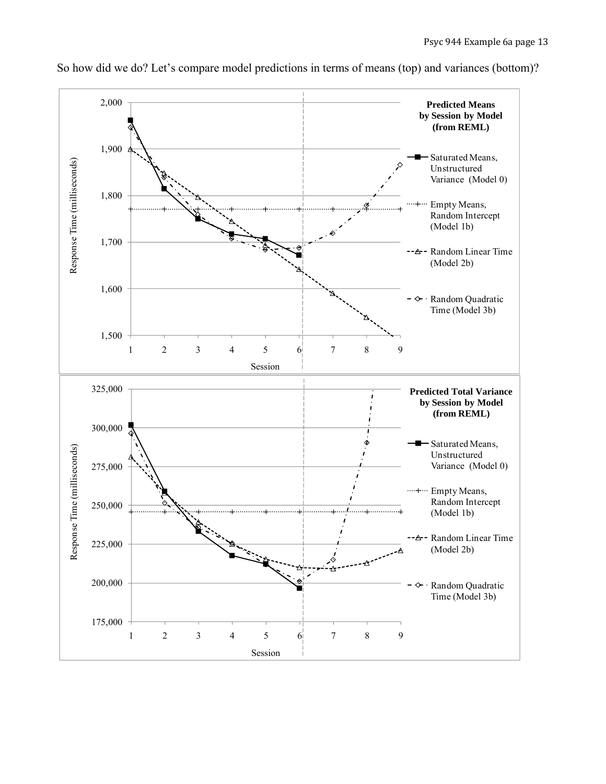

So how did we do? Let's compare model predictions in terms of means (top) and variances (bottom)?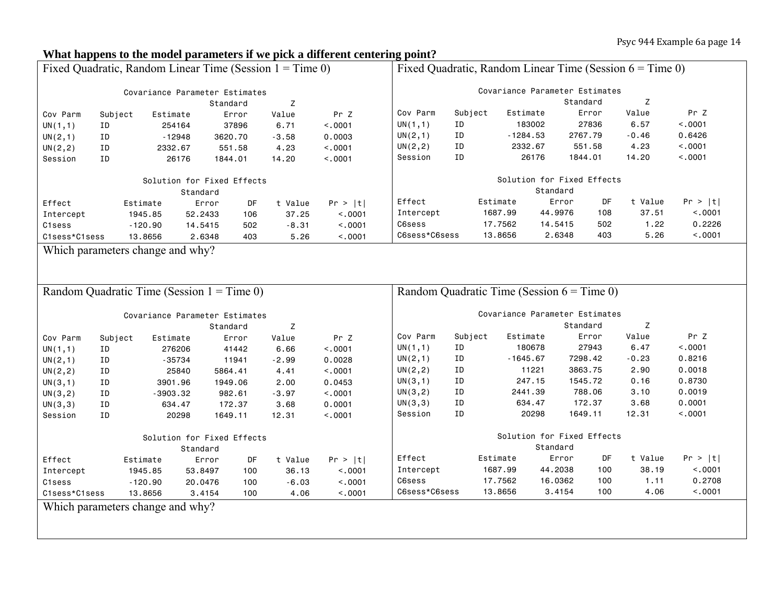## **What happens to the model parameters if we pick a different centering point?**

| Fixed Quadratic, Random Linear Time (Session $1 =$ Time 0) |         |                                  |          | Fixed Quadratic, Random Linear Time (Session $6 =$ Time 0) |         |                                              |                                        |         |            |                   |          |         |         |
|------------------------------------------------------------|---------|----------------------------------|----------|------------------------------------------------------------|---------|----------------------------------------------|----------------------------------------|---------|------------|-------------------|----------|---------|---------|
| Covariance Parameter Estimates                             |         |                                  |          | Covariance Parameter Estimates                             |         |                                              |                                        |         |            |                   |          |         |         |
| Z<br>Standard                                              |         |                                  |          |                                                            |         |                                              |                                        |         | Standard   | Z                 |          |         |         |
| Cov Parm                                                   | Subject | Estimate                         |          | Error                                                      | Value   | Pr Z                                         | Cov Parm                               | Subject | Estimate   |                   | Error    | Value   | Pr Z    |
| UN(1,1)                                                    | ID      |                                  | 254164   | 37896                                                      | 6.71    | < .0001                                      | UN(1,1)                                | ID      |            | 183002            | 27836    | 6.57    | < .0001 |
| UN(2,1)                                                    | ΙD      |                                  | $-12948$ | 3620.70                                                    | $-3.58$ | 0.0003                                       | UN(2,1)                                | ID      | $-1284.53$ |                   | 2767.79  | $-0.46$ | 0.6426  |
| UN(2, 2)                                                   | ID      | 2332.67                          |          | 551.58                                                     | 4.23    | < .0001                                      | UN(2, 2)                               | ID      |            | 2332.67           | 551.58   | 4.23    | < .0001 |
| Session                                                    | ID      |                                  | 26176    | 1844.01                                                    | 14.20   | < .0001                                      | Session                                | ID      |            | 26176             | 1844.01  | 14.20   | < .0001 |
| Solution for Fixed Effects                                 |         |                                  |          |                                                            |         |                                              | Solution for Fixed Effects<br>Standard |         |            |                   |          |         |         |
|                                                            |         |                                  | Standard |                                                            |         |                                              | Effect                                 |         | Estimate   | Error             | DF       | t Value | Pr >  t |
| Effect                                                     |         | Estimate                         | Error    | DF                                                         | t Value | Pr >  t                                      |                                        |         | 1687.99    | 44.9976           | 108      | 37.51   | < .0001 |
| Intercept                                                  |         | 1945.85                          | 52.2433  | 106                                                        | 37.25   | < .0001                                      | Intercept<br>C6sess                    |         | 17.7562    |                   | 502      | 1.22    | 0.2226  |
| C1sess                                                     |         | $-120.90$                        | 14.5415  | 502                                                        | $-8.31$ | < .0001                                      | C6sess*C6sess                          |         | 13.8656    | 14.5415<br>2.6348 | 403      | 5.26    | < .0001 |
| C1sess*C1sess                                              |         | 13.8656                          | 2.6348   | 403                                                        | 5.26    | < .0001                                      |                                        |         |            |                   |          |         |         |
|                                                            |         | Which parameters change and why? |          |                                                            |         |                                              |                                        |         |            |                   |          |         |         |
|                                                            |         |                                  |          |                                                            |         |                                              |                                        |         |            |                   |          |         |         |
|                                                            |         |                                  |          |                                                            |         |                                              |                                        |         |            |                   |          |         |         |
| Random Quadratic Time (Session $1 =$ Time 0)               |         |                                  |          |                                                            |         | Random Quadratic Time (Session $6 =$ Time 0) |                                        |         |            |                   |          |         |         |
| Covariance Parameter Estimates                             |         |                                  |          |                                                            |         |                                              | Covariance Parameter Estimates         |         |            |                   |          |         |         |
|                                                            |         |                                  |          | Standard                                                   | Z       |                                              |                                        |         |            |                   | Standard | Z       |         |
| Cov Parm                                                   | Subject | Estimate                         |          | Error                                                      | Value   | Pr Z                                         | Cov Parm                               | Subject | Estimate   |                   | Error    | Value   | Pr Z    |
| UN(1,1)                                                    | ΙD      |                                  | 276206   | 41442                                                      | 6.66    | < .0001                                      | UN(1,1)                                | ΙD      |            | 180678            | 27943    | 6.47    | < .0001 |
| UN(2,1)                                                    | ΙD      |                                  | -35734   | 11941                                                      | $-2.99$ | 0.0028                                       | UN(2,1)                                | ID      | $-1645.67$ |                   | 7298.42  | $-0.23$ | 0.8216  |
| UN(2, 2)                                                   | ID      |                                  | 25840    | 5864.41                                                    | 4.41    | < .0001                                      | UN(2, 2)                               | ID      |            | 11221             | 3863.75  | 2.90    | 0.0018  |
| UN(3,1)                                                    | ID      | 3901.96                          |          | 1949.06                                                    | 2.00    | 0.0453                                       | UN(3,1)                                | ID      |            | 247.15            | 1545.72  | 0.16    | 0.8730  |
| UN(3,2)                                                    | ID      | $-3903.32$                       |          | 982.61                                                     | $-3.97$ | < .0001                                      | UN(3, 2)                               | ID      |            | 2441.39           | 788.06   | 3.10    | 0.0019  |
| UN(3,3)                                                    | ID      |                                  | 634.47   | 172.37                                                     | 3.68    | 0.0001                                       | UN(3,3)                                | ID      |            | 634.47            | 172.37   | 3.68    | 0.0001  |
| Session                                                    | ID      |                                  | 20298    | 1649.11                                                    | 12.31   | < .0001                                      | Session                                | ID      |            | 20298             | 1649.11  | 12.31   | < .0001 |
| Solution for Fixed Effects                                 |         |                                  |          |                                                            |         |                                              | Solution for Fixed Effects             |         |            |                   |          |         |         |
|                                                            |         |                                  | Standard |                                                            |         |                                              |                                        |         |            | Standard          |          |         |         |
| Effect                                                     |         | Estimate                         | Error    | DF                                                         | t Value | Pr >  t                                      | Effect                                 |         | Estimate   | Error             | DF       | t Value | Pr >  t |
| Intercept                                                  |         | 1945.85                          | 53.8497  | 100                                                        | 36.13   | < .0001                                      | Intercept                              |         | 1687.99    | 44.2038           | 100      | 38.19   | < .0001 |
| C1sess                                                     |         | $-120.90$                        | 20.0476  | 100                                                        | $-6.03$ | < .0001                                      | C6sess                                 |         | 17.7562    | 16.0362           | 100      | 1.11    | 0.2708  |
| C1sess*C1sess                                              |         | 13.8656                          | 3.4154   | 100                                                        | 4.06    | < .0001                                      | C6sess*C6sess                          |         | 13.8656    | 3.4154            | 100      | 4.06    | < .0001 |
| Which parameters change and why?                           |         |                                  |          |                                                            |         |                                              |                                        |         |            |                   |          |         |         |